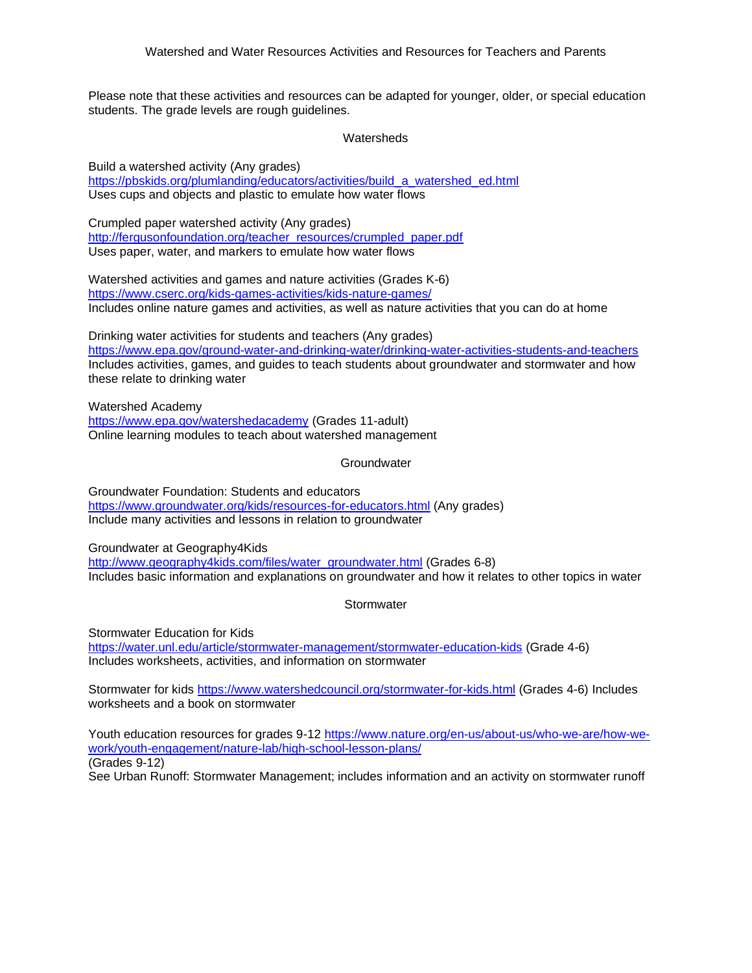Please note that these activities and resources can be adapted for younger, older, or special education students. The grade levels are rough guidelines.

**Watersheds** 

Build a watershed activity (Any grades) [https://pbskids.org/plumlanding/educators/activities/build\\_a\\_watershed\\_ed.html](https://pbskids.org/plumlanding/educators/activities/build_a_watershed_ed.html) Uses cups and objects and plastic to emulate how water flows

Crumpled paper watershed activity (Any grades) [http://fergusonfoundation.org/teacher\\_resources/crumpled\\_paper.pdf](http://fergusonfoundation.org/teacher_resources/crumpled_paper.pdf) Uses paper, water, and markers to emulate how water flows

Watershed activities and games and nature activities (Grades K-6) <https://www.cserc.org/kids-games-activities/kids-nature-games/> Includes online nature games and activities, as well as nature activities that you can do at home

Drinking water activities for students and teachers (Any grades) <https://www.epa.gov/ground-water-and-drinking-water/drinking-water-activities-students-and-teachers> Includes activities, games, and guides to teach students about groundwater and stormwater and how these relate to drinking water

Watershed Academy <https://www.epa.gov/watershedacademy> (Grades 11-adult) Online learning modules to teach about watershed management

**Groundwater** 

Groundwater Foundation: Students and educators <https://www.groundwater.org/kids/resources-for-educators.html> (Any grades) Include many activities and lessons in relation to groundwater

Groundwater at Geography4Kids

[http://www.geography4kids.com/files/water\\_groundwater.html](http://www.geography4kids.com/files/water_groundwater.html) (Grades 6-8) Includes basic information and explanations on groundwater and how it relates to other topics in water

**Stormwater** 

Stormwater Education for Kids

<https://water.unl.edu/article/stormwater-management/stormwater-education-kids> (Grade 4-6) Includes worksheets, activities, and information on stormwater

Stormwater for kids <https://www.watershedcouncil.org/stormwater-for-kids.html> (Grades 4-6) Includes worksheets and a book on stormwater

Youth education resources for grades 9-12 [https://www.nature.org/en-us/about-us/who-we-are/how-we](https://www.nature.org/en-us/about-us/who-we-are/how-we-work/youth-engagement/nature-lab/high-school-lesson-plans/)[work/youth-engagement/nature-lab/high-school-lesson-plans/](https://www.nature.org/en-us/about-us/who-we-are/how-we-work/youth-engagement/nature-lab/high-school-lesson-plans/)  (Grades 9-12) See Urban Runoff: Stormwater Management; includes information and an activity on stormwater runoff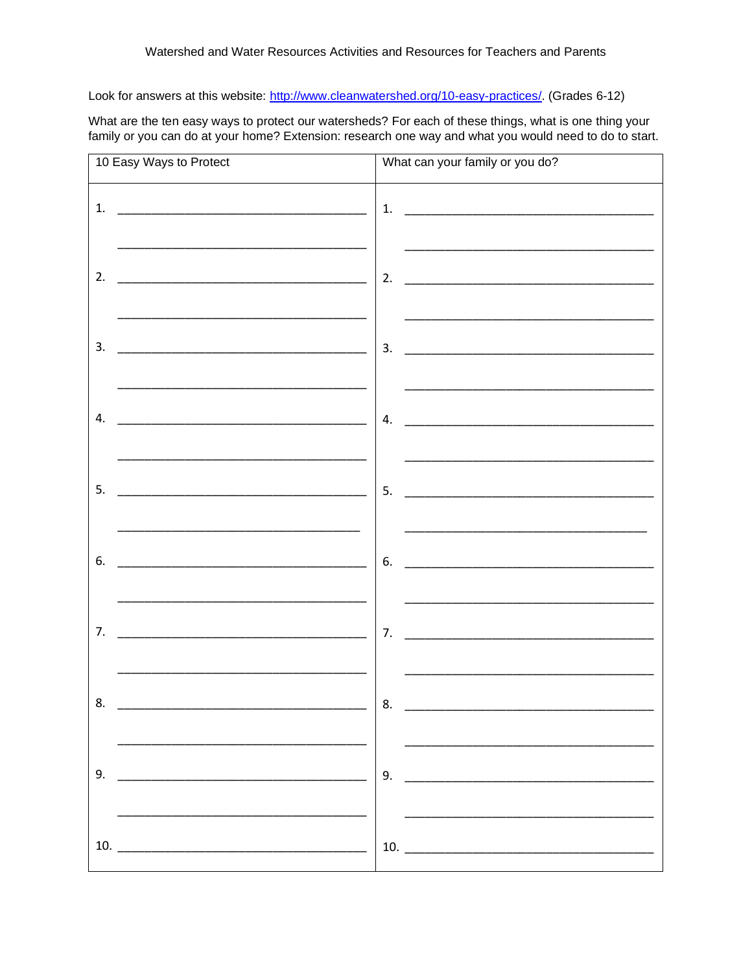Look for answers at this website: http://www.cleanwatershed.org/10-easy-practices/. (Grades 6-12)

What are the ten easy ways to protect our watersheds? For each of these things, what is one thing your family or you can do at your home? Extension: research one way and what you would need to do to start.

| 10 Easy Ways to Protect                                                                                                                                                                                                             | What can your family or you do?                                                                                       |
|-------------------------------------------------------------------------------------------------------------------------------------------------------------------------------------------------------------------------------------|-----------------------------------------------------------------------------------------------------------------------|
| 1.                                                                                                                                                                                                                                  |                                                                                                                       |
| the control of the control of the control of the control of the control of the control of the control of the control of the control of the control of the control of the control of the control of the control of the control<br>2. | 2. $\qquad \qquad$                                                                                                    |
| the control of the control of the control of the control of the control of the control of the control of the control of the control of the control of the control of the control of the control of the control of the control<br>3. | <u> 1989 - Johann John Stone, markin film yn y brening yn y brening yn y brening yn y brening yn y brening yn y b</u> |
| 4.                                                                                                                                                                                                                                  |                                                                                                                       |
| 5.<br><u> 1989 - Johann John Harry, mars ar breithinn ar breithinn an t-Alban ann an 1980.</u>                                                                                                                                      | 5.                                                                                                                    |
| 6.                                                                                                                                                                                                                                  | the control of the control of the control of the control of the control of the control of<br>6.                       |
| 7.<br><u> 1989 - Johann John Stone, markin film yn y brenin y brenin y brenin y brenin y brenin y brenin y brenin y br</u>                                                                                                          |                                                                                                                       |
| 8.                                                                                                                                                                                                                                  | 8.                                                                                                                    |
| 9.                                                                                                                                                                                                                                  |                                                                                                                       |
|                                                                                                                                                                                                                                     | 10. $\overline{\phantom{a}1}$                                                                                         |